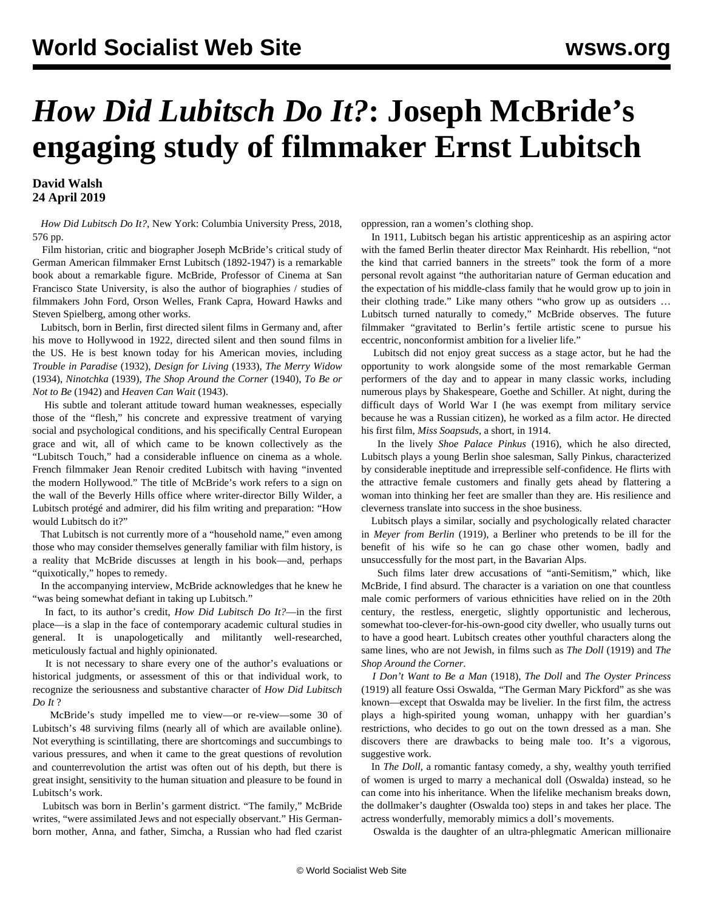## *How Did Lubitsch Do It?***: Joseph McBride's engaging study of filmmaker Ernst Lubitsch**

## **David Walsh 24 April 2019**

 *How Did Lubitsch Do It?*, New York: Columbia University Press, 2018, 576 pp.

 Film historian, critic and biographer Joseph McBride's critical study of German American filmmaker Ernst Lubitsch (1892-1947) is a remarkable book about a remarkable figure. McBride, Professor of Cinema at San Francisco State University, is also the author of biographies / studies of filmmakers John Ford, Orson Welles, Frank Capra, Howard Hawks and Steven Spielberg, among other works.

 Lubitsch, born in Berlin, first directed silent films in Germany and, after his move to Hollywood in 1922, directed silent and then sound films in the US. He is best known today for his American movies, including *Trouble in Paradise* (1932), *Design for Living* (1933), *The Merry Widow* (1934), *Ninotchka* (1939), *The Shop Around the Corner* (1940), *To Be or Not to Be* (1942) and *Heaven Can Wait* (1943).

 His subtle and tolerant attitude toward human weaknesses, especially those of the "flesh," his concrete and expressive treatment of varying social and psychological conditions, and his specifically Central European grace and wit, all of which came to be known collectively as the "Lubitsch Touch," had a considerable influence on cinema as a whole. French filmmaker Jean Renoir credited Lubitsch with having "invented the modern Hollywood." The title of McBride's work refers to a sign on the wall of the Beverly Hills office where writer-director Billy Wilder, a Lubitsch protégé and admirer, did his film writing and preparation: "How would Lubitsch do it?"

 That Lubitsch is not currently more of a "household name," even among those who may consider themselves generally familiar with film history, is a reality that McBride discusses at length in his book—and, perhaps "quixotically," hopes to remedy.

 In the accompanying interview, McBride acknowledges that he knew he "was being somewhat defiant in taking up Lubitsch."

 In fact, to its author's credit, *How Did Lubitsch Do It?*—in the first place—is a slap in the face of contemporary academic cultural studies in general. It is unapologetically and militantly well-researched, meticulously factual and highly opinionated.

 It is not necessary to share every one of the author's evaluations or historical judgments, or assessment of this or that individual work, to recognize the seriousness and substantive character of *How Did Lubitsch Do It* ?

 McBride's study impelled me to view—or re-view—some 30 of Lubitsch's 48 surviving films (nearly all of which are available online). Not everything is scintillating, there are shortcomings and succumbings to various pressures, and when it came to the great questions of revolution and counterrevolution the artist was often out of his depth, but there is great insight, sensitivity to the human situation and pleasure to be found in Lubitsch's work.

 Lubitsch was born in Berlin's garment district. "The family," McBride writes, "were assimilated Jews and not especially observant." His Germanborn mother, Anna, and father, Simcha, a Russian who had fled czarist oppression, ran a women's clothing shop.

 In 1911, Lubitsch began his artistic apprenticeship as an aspiring actor with the famed Berlin theater director Max Reinhardt. His rebellion, "not the kind that carried banners in the streets" took the form of a more personal revolt against "the authoritarian nature of German education and the expectation of his middle-class family that he would grow up to join in their clothing trade." Like many others "who grow up as outsiders … Lubitsch turned naturally to comedy," McBride observes. The future filmmaker "gravitated to Berlin's fertile artistic scene to pursue his eccentric, nonconformist ambition for a livelier life."

 Lubitsch did not enjoy great success as a stage actor, but he had the opportunity to work alongside some of the most remarkable German performers of the day and to appear in many classic works, including numerous plays by Shakespeare, Goethe and Schiller. At night, during the difficult days of World War I (he was exempt from military service because he was a Russian citizen), he worked as a film actor. He directed his first film, *Miss Soapsuds*, a short, in 1914.

 In the lively *Shoe Palace Pinkus* (1916), which he also directed, Lubitsch plays a young Berlin shoe salesman, Sally Pinkus, characterized by considerable ineptitude and irrepressible self-confidence. He flirts with the attractive female customers and finally gets ahead by flattering a woman into thinking her feet are smaller than they are. His resilience and cleverness translate into success in the shoe business.

 Lubitsch plays a similar, socially and psychologically related character in *Meyer from Berlin* (1919), a Berliner who pretends to be ill for the benefit of his wife so he can go chase other women, badly and unsuccessfully for the most part, in the Bavarian Alps.

 Such films later drew accusations of "anti-Semitism," which, like McBride, I find absurd. The character is a variation on one that countless male comic performers of various ethnicities have relied on in the 20th century, the restless, energetic, slightly opportunistic and lecherous, somewhat too-clever-for-his-own-good city dweller, who usually turns out to have a good heart. Lubitsch creates other youthful characters along the same lines, who are not Jewish, in films such as *The Doll* (1919) and *The Shop Around the Corner*.

 *I Don't Want to Be a Man* (1918), *The Doll* and *The Oyster Princess* (1919) all feature Ossi Oswalda, "The German Mary Pickford" as she was known—except that Oswalda may be livelier. In the first film, the actress plays a high-spirited young woman, unhappy with her guardian's restrictions, who decides to go out on the town dressed as a man. She discovers there are drawbacks to being male too. It's a vigorous, suggestive work.

 In *The Doll*, a romantic fantasy comedy, a shy, wealthy youth terrified of women is urged to marry a mechanical doll (Oswalda) instead, so he can come into his inheritance. When the lifelike mechanism breaks down, the dollmaker's daughter (Oswalda too) steps in and takes her place. The actress wonderfully, memorably mimics a doll's movements.

Oswalda is the daughter of an ultra-phlegmatic American millionaire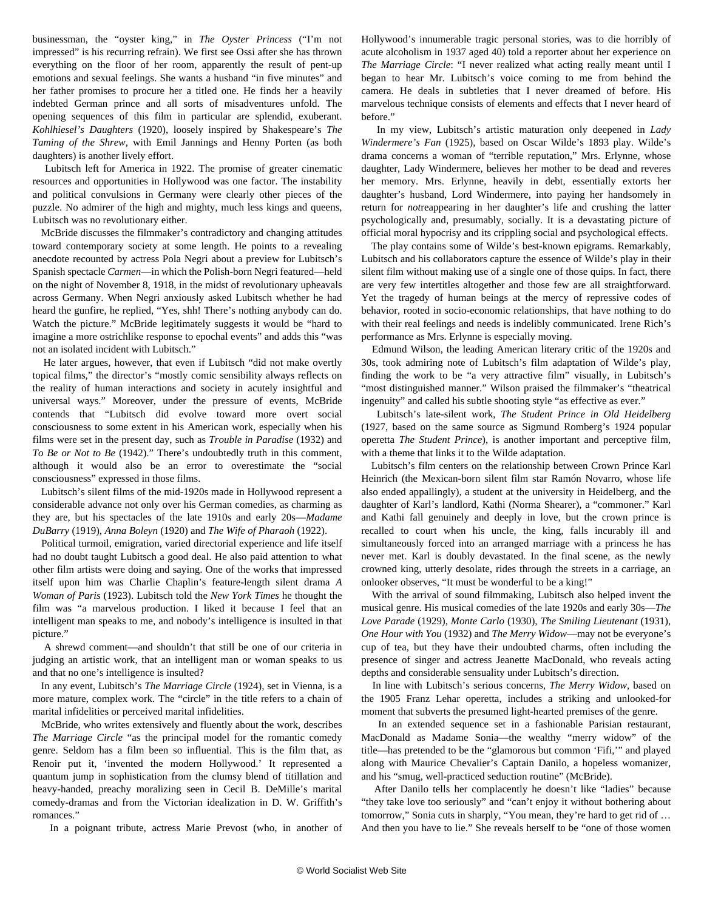businessman, the "oyster king," in *The Oyster Princess* ("I'm not impressed" is his recurring refrain). We first see Ossi after she has thrown everything on the floor of her room, apparently the result of pent-up emotions and sexual feelings. She wants a husband "in five minutes" and her father promises to procure her a titled one. He finds her a heavily indebted German prince and all sorts of misadventures unfold. The opening sequences of this film in particular are splendid, exuberant. *Kohlhiesel's Daughters* (1920), loosely inspired by Shakespeare's *The Taming of the Shrew*, with Emil Jannings and Henny Porten (as both daughters) is another lively effort.

 Lubitsch left for America in 1922. The promise of greater cinematic resources and opportunities in Hollywood was one factor. The instability and political convulsions in Germany were clearly other pieces of the puzzle. No admirer of the high and mighty, much less kings and queens, Lubitsch was no revolutionary either.

 McBride discusses the filmmaker's contradictory and changing attitudes toward contemporary society at some length. He points to a revealing anecdote recounted by actress Pola Negri about a preview for Lubitsch's Spanish spectacle *Carmen*—in which the Polish-born Negri featured—held on the night of November 8, 1918, in the midst of revolutionary upheavals across Germany. When Negri anxiously asked Lubitsch whether he had heard the gunfire, he replied, "Yes, shh! There's nothing anybody can do. Watch the picture." McBride legitimately suggests it would be "hard to imagine a more ostrichlike response to epochal events" and adds this "was not an isolated incident with Lubitsch."

 He later argues, however, that even if Lubitsch "did not make overtly topical films," the director's "mostly comic sensibility always reflects on the reality of human interactions and society in acutely insightful and universal ways." Moreover, under the pressure of events, McBride contends that "Lubitsch did evolve toward more overt social consciousness to some extent in his American work, especially when his films were set in the present day, such as *Trouble in Paradise* (1932) and *To Be or Not to Be* (1942)." There's undoubtedly truth in this comment, although it would also be an error to overestimate the "social consciousness" expressed in those films.

 Lubitsch's silent films of the mid-1920s made in Hollywood represent a considerable advance not only over his German comedies, as charming as they are, but his spectacles of the late 1910s and early 20s—*Madame DuBarry* (1919), *Anna Boleyn* (1920) and *The Wife of Pharaoh* (1922).

 Political turmoil, emigration, varied directorial experience and life itself had no doubt taught Lubitsch a good deal. He also paid attention to what other film artists were doing and saying. One of the works that impressed itself upon him was Charlie Chaplin's feature-length silent drama *A Woman of Paris* (1923). Lubitsch told the *New York Times* he thought the film was "a marvelous production. I liked it because I feel that an intelligent man speaks to me, and nobody's intelligence is insulted in that picture."

 A shrewd comment—and shouldn't that still be one of our criteria in judging an artistic work, that an intelligent man or woman speaks to us and that no one's intelligence is insulted?

 In any event, Lubitsch's *The Marriage Circle* (1924), set in Vienna, is a more mature, complex work. The "circle" in the title refers to a chain of marital infidelities or perceived marital infidelities.

 McBride, who writes extensively and fluently about the work, describes *The Marriage Circle* "as the principal model for the romantic comedy genre. Seldom has a film been so influential. This is the film that, as Renoir put it, 'invented the modern Hollywood.' It represented a quantum jump in sophistication from the clumsy blend of titillation and heavy-handed, preachy moralizing seen in Cecil B. DeMille's marital comedy-dramas and from the Victorian idealization in D. W. Griffith's romances."

In a poignant tribute, actress Marie Prevost (who, in another of

Hollywood's innumerable tragic personal stories, was to die horribly of acute alcoholism in 1937 aged 40) told a reporter about her experience on *The Marriage Circle*: "I never realized what acting really meant until I began to hear Mr. Lubitsch's voice coming to me from behind the camera. He deals in subtleties that I never dreamed of before. His marvelous technique consists of elements and effects that I never heard of before."

 In my view, Lubitsch's artistic maturation only deepened in *Lady Windermere's Fan* (1925), based on Oscar Wilde's 1893 play. Wilde's drama concerns a woman of "terrible reputation," Mrs. Erlynne, whose daughter, Lady Windermere, believes her mother to be dead and reveres her memory. Mrs. Erlynne, heavily in debt, essentially extorts her daughter's husband, Lord Windermere, into paying her handsomely in return for *not*reappearing in her daughter's life and crushing the latter psychologically and, presumably, socially. It is a devastating picture of official moral hypocrisy and its crippling social and psychological effects.

 The play contains some of Wilde's best-known epigrams. Remarkably, Lubitsch and his collaborators capture the essence of Wilde's play in their silent film without making use of a single one of those quips. In fact, there are very few intertitles altogether and those few are all straightforward. Yet the tragedy of human beings at the mercy of repressive codes of behavior, rooted in socio-economic relationships, that have nothing to do with their real feelings and needs is indelibly communicated. Irene Rich's performance as Mrs. Erlynne is especially moving.

 Edmund Wilson, the leading American literary critic of the 1920s and 30s, took admiring note of Lubitsch's film adaptation of Wilde's play, finding the work to be "a very attractive film" visually, in Lubitsch's "most distinguished manner." Wilson praised the filmmaker's "theatrical ingenuity" and called his subtle shooting style "as effective as ever."

 Lubitsch's late-silent work, *The Student Prince in Old Heidelberg* (1927, based on the same source as Sigmund Romberg's 1924 popular operetta *The Student Prince*), is another important and perceptive film, with a theme that links it to the Wilde adaptation.

 Lubitsch's film centers on the relationship between Crown Prince Karl Heinrich (the Mexican-born silent film star Ramón Novarro, whose life also ended appallingly), a student at the university in Heidelberg, and the daughter of Karl's landlord, Kathi (Norma Shearer), a "commoner." Karl and Kathi fall genuinely and deeply in love, but the crown prince is recalled to court when his uncle, the king, falls incurably ill and simultaneously forced into an arranged marriage with a princess he has never met. Karl is doubly devastated. In the final scene, as the newly crowned king, utterly desolate, rides through the streets in a carriage, an onlooker observes, "It must be wonderful to be a king!"

 With the arrival of sound filmmaking, Lubitsch also helped invent the musical genre. His musical comedies of the late 1920s and early 30s—*The Love Parade* (1929), *Monte Carlo* (1930), *The Smiling Lieutenant* (1931), *One Hour with You* (1932) and *The Merry Widow*—may not be everyone's cup of tea, but they have their undoubted charms, often including the presence of singer and actress Jeanette MacDonald, who reveals acting depths and considerable sensuality under Lubitsch's direction.

 In line with Lubitsch's serious concerns, *The Merry Widow*, based on the 1905 Franz Lehar operetta, includes a striking and unlooked-for moment that subverts the presumed light-hearted premises of the genre.

 In an extended sequence set in a fashionable Parisian restaurant, MacDonald as Madame Sonia—the wealthy "merry widow" of the title—has pretended to be the "glamorous but common 'Fifi,'" and played along with Maurice Chevalier's Captain Danilo, a hopeless womanizer, and his "smug, well-practiced seduction routine" (McBride).

 After Danilo tells her complacently he doesn't like "ladies" because "they take love too seriously" and "can't enjoy it without bothering about tomorrow," Sonia cuts in sharply, "You mean, they're hard to get rid of … And then you have to lie." She reveals herself to be "one of those women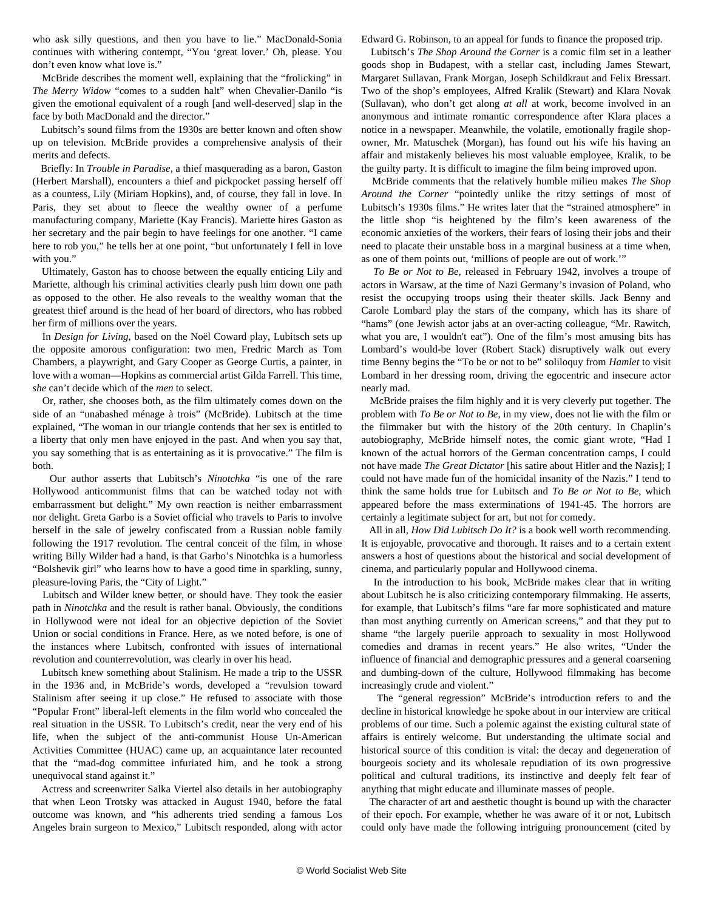who ask silly questions, and then you have to lie." MacDonald-Sonia continues with withering contempt, "You 'great lover.' Oh, please. You don't even know what love is."

 McBride describes the moment well, explaining that the "frolicking" in *The Merry Widow* "comes to a sudden halt" when Chevalier-Danilo "is given the emotional equivalent of a rough [and well-deserved] slap in the face by both MacDonald and the director."

 Lubitsch's sound films from the 1930s are better known and often show up on television. McBride provides a comprehensive analysis of their merits and defects.

 Briefly: In *Trouble in Paradise*, a thief masquerading as a baron, Gaston (Herbert Marshall), encounters a thief and pickpocket passing herself off as a countess, Lily (Miriam Hopkins), and, of course, they fall in love. In Paris, they set about to fleece the wealthy owner of a perfume manufacturing company, Mariette (Kay Francis). Mariette hires Gaston as her secretary and the pair begin to have feelings for one another. "I came here to rob you," he tells her at one point, "but unfortunately I fell in love with you."

 Ultimately, Gaston has to choose between the equally enticing Lily and Mariette, although his criminal activities clearly push him down one path as opposed to the other. He also reveals to the wealthy woman that the greatest thief around is the head of her board of directors, who has robbed her firm of millions over the years.

 In *Design for Living*, based on the Noël Coward play, Lubitsch sets up the opposite amorous configuration: two men, Fredric March as Tom Chambers, a playwright, and Gary Cooper as George Curtis, a painter, in love with a woman—Hopkins as commercial artist Gilda Farrell. This time, *she* can't decide which of the *men* to select.

 Or, rather, she chooses both, as the film ultimately comes down on the side of an "unabashed ménage à trois" (McBride). Lubitsch at the time explained, "The woman in our triangle contends that her sex is entitled to a liberty that only men have enjoyed in the past. And when you say that, you say something that is as entertaining as it is provocative." The film is both.

 Our author asserts that Lubitsch's *Ninotchka* "is one of the rare Hollywood anticommunist films that can be watched today not with embarrassment but delight." My own reaction is neither embarrassment nor delight. Greta Garbo is a Soviet official who travels to Paris to involve herself in the sale of jewelry confiscated from a Russian noble family following the 1917 revolution. The central conceit of the film, in whose writing Billy Wilder had a hand, is that Garbo's Ninotchka is a humorless "Bolshevik girl" who learns how to have a good time in sparkling, sunny, pleasure-loving Paris, the "City of Light."

 Lubitsch and Wilder knew better, or should have. They took the easier path in *Ninotchka* and the result is rather banal. Obviously, the conditions in Hollywood were not ideal for an objective depiction of the Soviet Union or social conditions in France. Here, as we noted before, is one of the instances where Lubitsch, confronted with issues of international revolution and counterrevolution, was clearly in over his head.

 Lubitsch knew something about Stalinism. He made a trip to the USSR in the 1936 and, in McBride's words, developed a "revulsion toward Stalinism after seeing it up close." He refused to associate with those "Popular Front" liberal-left elements in the film world who concealed the real situation in the USSR. To Lubitsch's credit, near the very end of his life, when the subject of the anti-communist House Un-American Activities Committee (HUAC) came up, an acquaintance later recounted that the "mad-dog committee infuriated him, and he took a strong unequivocal stand against it."

 Actress and screenwriter Salka Viertel also details in her autobiography that when Leon Trotsky was attacked in August 1940, before the fatal outcome was known, and "his adherents tried sending a famous Los Angeles brain surgeon to Mexico," Lubitsch responded, along with actor Edward G. Robinson, to an appeal for funds to finance the proposed trip.

 Lubitsch's *The Shop Around the Corner* is a comic film set in a leather goods shop in Budapest, with a stellar cast, including James Stewart, Margaret Sullavan, Frank Morgan, Joseph Schildkraut and Felix Bressart. Two of the shop's employees, Alfred Kralik (Stewart) and Klara Novak (Sullavan), who don't get along *at all* at work, become involved in an anonymous and intimate romantic correspondence after Klara places a notice in a newspaper. Meanwhile, the volatile, emotionally fragile shopowner, Mr. Matuschek (Morgan), has found out his wife his having an affair and mistakenly believes his most valuable employee, Kralik, to be the guilty party. It is difficult to imagine the film being improved upon.

 McBride comments that the relatively humble milieu makes *The Shop Around the Corner* "pointedly unlike the ritzy settings of most of Lubitsch's 1930s films." He writes later that the "strained atmosphere" in the little shop "is heightened by the film's keen awareness of the economic anxieties of the workers, their fears of losing their jobs and their need to placate their unstable boss in a marginal business at a time when, as one of them points out, 'millions of people are out of work.'"

 *To Be or Not to Be*, released in February 1942, involves a troupe of actors in Warsaw, at the time of Nazi Germany's invasion of Poland, who resist the occupying troops using their theater skills. Jack Benny and Carole Lombard play the stars of the company, which has its share of "hams" (one Jewish actor jabs at an over-acting colleague, "Mr. Rawitch, what you are, I wouldn't eat"). One of the film's most amusing bits has Lombard's would-be lover (Robert Stack) disruptively walk out every time Benny begins the "To be or not to be" soliloquy from *Hamlet* to visit Lombard in her dressing room, driving the egocentric and insecure actor nearly mad.

 McBride praises the film highly and it is very cleverly put together. The problem with *To Be or Not to Be*, in my view, does not lie with the film or the filmmaker but with the history of the 20th century. In Chaplin's autobiography, McBride himself notes, the comic giant wrote, "Had I known of the actual horrors of the German concentration camps, I could not have made *The Great Dictator* [his satire about Hitler and the Nazis]; I could not have made fun of the homicidal insanity of the Nazis." I tend to think the same holds true for Lubitsch and *To Be or Not to Be*, which appeared before the mass exterminations of 1941-45. The horrors are certainly a legitimate subject for art, but not for comedy.

 All in all, *How Did Lubitsch Do It?* is a book well worth recommending. It is enjoyable, provocative and thorough. It raises and to a certain extent answers a host of questions about the historical and social development of cinema, and particularly popular and Hollywood cinema.

 In the introduction to his book, McBride makes clear that in writing about Lubitsch he is also criticizing contemporary filmmaking. He asserts, for example, that Lubitsch's films "are far more sophisticated and mature than most anything currently on American screens," and that they put to shame "the largely puerile approach to sexuality in most Hollywood comedies and dramas in recent years." He also writes, "Under the influence of financial and demographic pressures and a general coarsening and dumbing-down of the culture, Hollywood filmmaking has become increasingly crude and violent."

 The "general regression" McBride's introduction refers to and the decline in historical knowledge he spoke about in our interview are critical problems of our time. Such a polemic against the existing cultural state of affairs is entirely welcome. But understanding the ultimate social and historical source of this condition is vital: the decay and degeneration of bourgeois society and its wholesale repudiation of its own progressive political and cultural traditions, its instinctive and deeply felt fear of anything that might educate and illuminate masses of people.

 The character of art and aesthetic thought is bound up with the character of their epoch. For example, whether he was aware of it or not, Lubitsch could only have made the following intriguing pronouncement (cited by